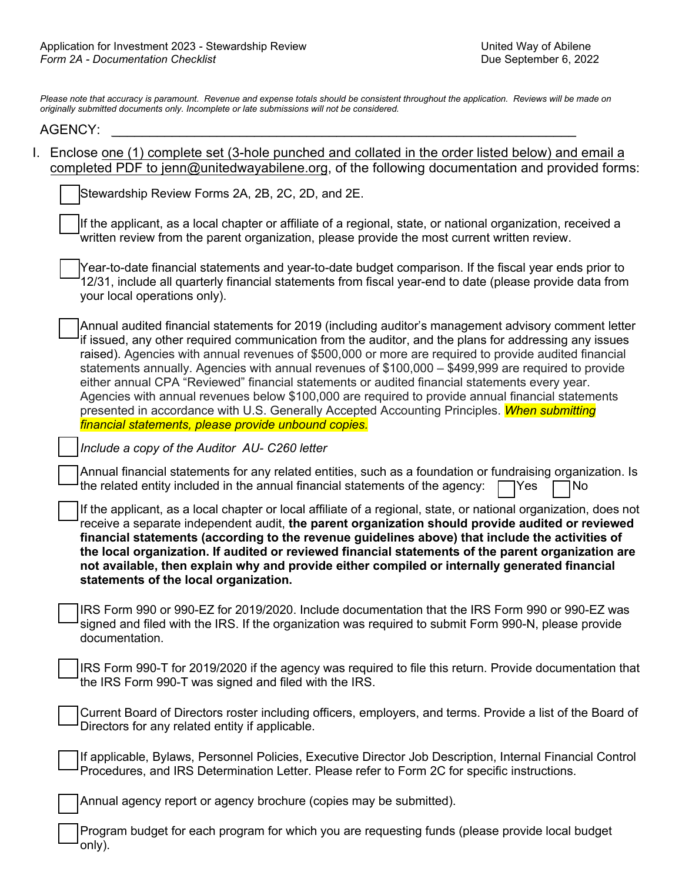*Please note that accuracy is paramount. Revenue and expense totals should be consistent throughout the application. Reviews will be made on originally submitted documents only. Incomplete or late submissions will not be considered.*

## AGENCY: \_\_\_\_\_\_\_\_\_\_\_\_\_\_\_\_\_\_\_\_\_\_\_\_\_\_\_\_\_\_\_\_\_\_\_\_\_\_\_\_\_\_\_\_\_\_\_\_\_\_\_\_\_\_\_\_\_\_\_\_\_\_

I. Enclose one (1) complete set (3-hole punched and collated in the order listed below) and email a completed PDF to jenn@unitedwayabilene.org, of the following documentation and provided forms:

Stewardship Review Forms 2A, 2B, 2C, 2D, and 2E.

If the applicant, as a local chapter or affiliate of a regional, state, or national organization, received a written review from the parent organization, please provide the most current written review.

Year-to-date financial statements and year-to-date budget comparison. If the fiscal year ends prior to 12/31, include all quarterly financial statements from fiscal year-end to date (please provide data from your local operations only).

Annual audited financial statements for 2019 (including auditor's management advisory comment letter if issued, any other required communication from the auditor, and the plans for addressing any issues raised). Agencies with annual revenues of \$500,000 or more are required to provide audited financial statements annually. Agencies with annual revenues of \$100,000 – \$499,999 are required to provide either annual CPA "Reviewed" financial statements or audited financial statements every year. Agencies with annual revenues below \$100,000 are required to provide annual financial statements presented in accordance with U.S. Generally Accepted Accounting Principles. *When submitting financial statements, please provide unbound copies.*

*Include a copy of the Auditor AU- C260 letter*

Annual financial statements for any related entities, such as a foundation or fundraising organization. Is the related entity included in the annual financial statements of the agency:  $\Box$  Yes  $\Box$  No

If the applicant, as a local chapter or local affiliate of a regional, state, or national organization, does not receive a separate independent audit, **the parent organization should provide audited or reviewed financial statements (according to the revenue guidelines above) that include the activities of the local organization. If audited or reviewed financial statements of the parent organization are not available, then explain why and provide either compiled or internally generated financial statements of the local organization.**

IRS Form 990 or 990-EZ for 2019/2020. Include documentation that the IRS Form 990 or 990-EZ was signed and filed with the IRS. If the organization was required to submit Form 990-N, please provide documentation.

IRS Form 990-T for 2019/2020 if the agency was required to file this return. Provide documentation that the IRS Form 990-T was signed and filed with the IRS.

Current Board of Directors roster including officers, employers, and terms. Provide a list of the Board of Directors for any related entity if applicable.

If applicable, Bylaws, Personnel Policies, Executive Director Job Description, Internal Financial Control Procedures, and IRS Determination Letter. Please refer to Form 2C for specific instructions.

Annual agency report or agency brochure (copies may be submitted).

Program budget for each program for which you are requesting funds (please provide local budget only).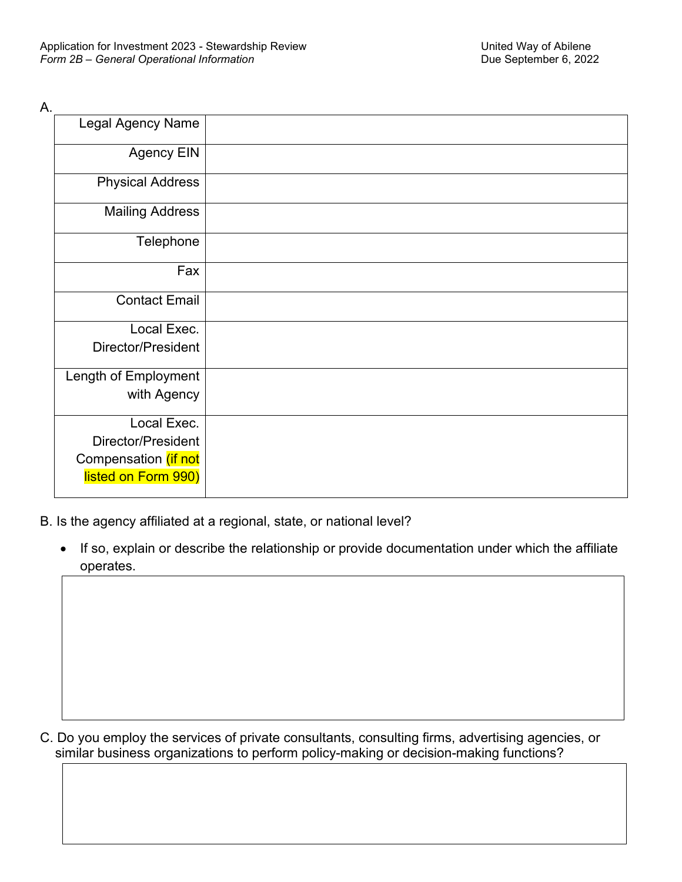| А.                       |  |
|--------------------------|--|
| <b>Legal Agency Name</b> |  |
| <b>Agency EIN</b>        |  |
| <b>Physical Address</b>  |  |
| <b>Mailing Address</b>   |  |
| Telephone                |  |
| Fax                      |  |
| <b>Contact Email</b>     |  |
| Local Exec.              |  |
| Director/President       |  |
| Length of Employment     |  |
| with Agency              |  |
| Local Exec.              |  |
| Director/President       |  |
| Compensation (if not     |  |
| listed on Form 990)      |  |

B. Is the agency affiliated at a regional, state, or national level?

• If so, explain or describe the relationship or provide documentation under which the affiliate operates.

C. Do you employ the services of private consultants, consulting firms, advertising agencies, or similar business organizations to perform policy-making or decision-making functions?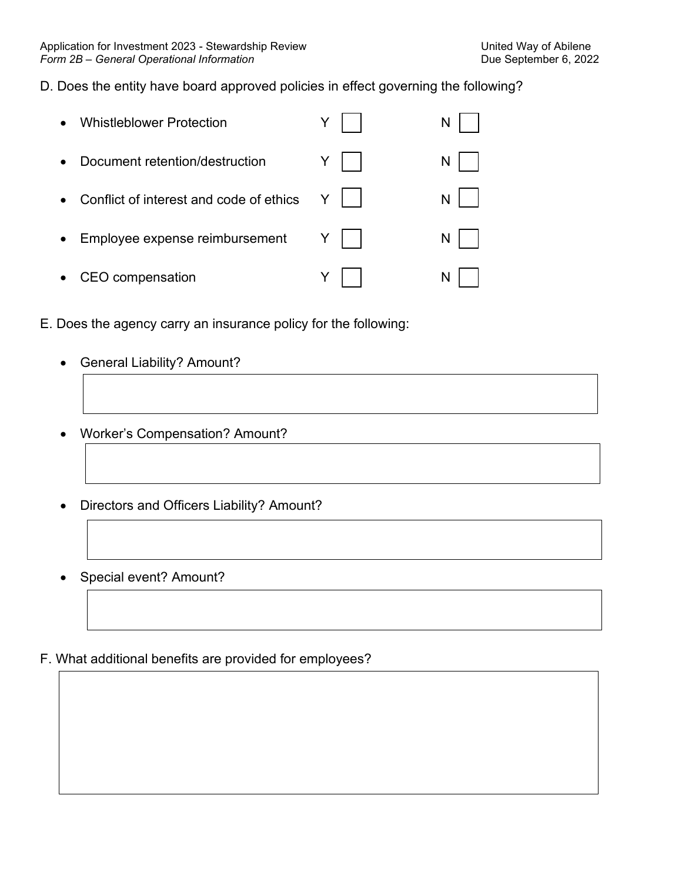# D. Does the entity have board approved policies in effect governing the following?

|           | <b>Whistleblower Protection</b>           |                | N |
|-----------|-------------------------------------------|----------------|---|
| $\bullet$ | Document retention/destruction            | Y.             | N |
|           | • Conflict of interest and code of ethics | Y              | N |
| $\bullet$ | Employee expense reimbursement            | $Y \mid \cdot$ | N |
| $\bullet$ | CEO compensation                          |                | N |

- E. Does the agency carry an insurance policy for the following:
	- General Liability? Amount?
	- Worker's Compensation? Amount?
	- Directors and Officers Liability? Amount?
	- Special event? Amount?
- F. What additional benefits are provided for employees?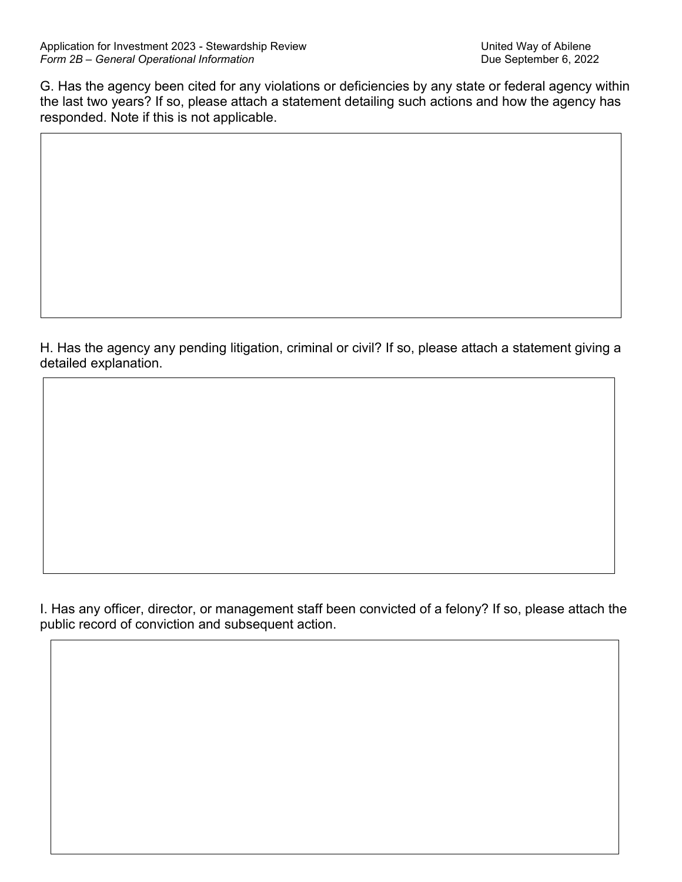G. Has the agency been cited for any violations or deficiencies by any state or federal agency within the last two years? If so, please attach a statement detailing such actions and how the agency has responded. Note if this is not applicable.

H. Has the agency any pending litigation, criminal or civil? If so, please attach a statement giving a detailed explanation.

I. Has any officer, director, or management staff been convicted of a felony? If so, please attach the public record of conviction and subsequent action.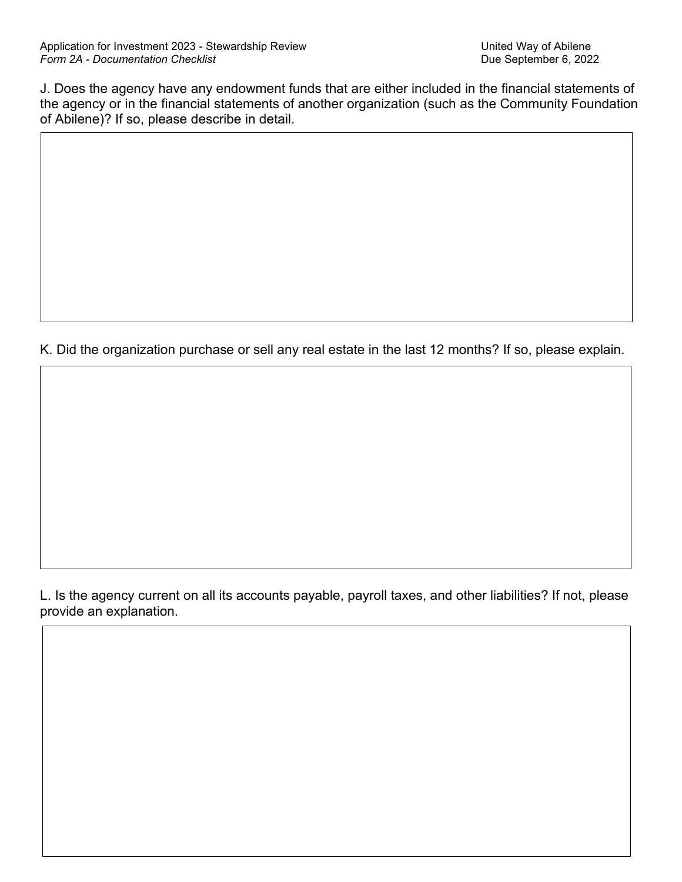J. Does the agency have any endowment funds that are either included in the financial statements of the agency or in the financial statements of another organization (such as the Community Foundation of Abilene)? If so, please describe in detail.

K. Did the organization purchase or sell any real estate in the last 12 months? If so, please explain.

L. Is the agency current on all its accounts payable, payroll taxes, and other liabilities? If not, please provide an explanation.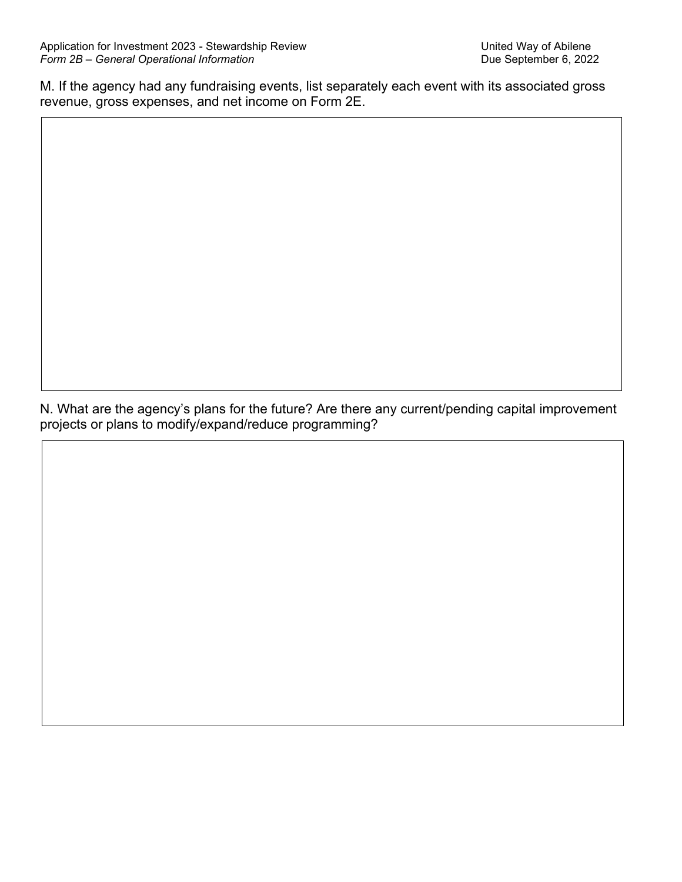M. If the agency had any fundraising events, list separately each event with its associated gross revenue, gross expenses, and net income on Form 2E.

N. What are the agency's plans for the future? Are there any current/pending capital improvement projects or plans to modify/expand/reduce programming?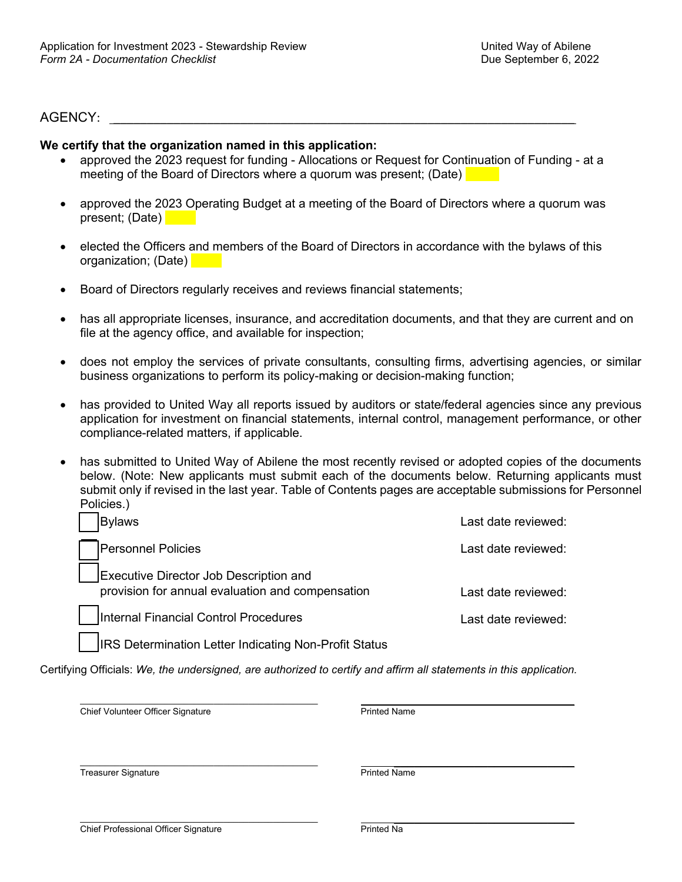#### $AGENCY:$

#### **We certify that the organization named in this application:**

- approved the 2023 request for funding Allocations or Request for Continuation of Funding at a meeting of the Board of Directors where a quorum was present; (Date)
- approved the 2023 Operating Budget at a meeting of the Board of Directors where a quorum was present; (Date)
- elected the Officers and members of the Board of Directors in accordance with the bylaws of this organization; (Date)
- Board of Directors regularly receives and reviews financial statements;
- has all appropriate licenses, insurance, and accreditation documents, and that they are current and on file at the agency office, and available for inspection;
- does not employ the services of private consultants, consulting firms, advertising agencies, or similar business organizations to perform its policy-making or decision-making function;
- has provided to United Way all reports issued by auditors or state/federal agencies since any previous application for investment on financial statements, internal control, management performance, or other compliance-related matters, if applicable.
- has submitted to United Way of Abilene the most recently revised or adopted copies of the documents below. (Note: New applicants must submit each of the documents below. Returning applicants must submit only if revised in the last year. Table of Contents pages are acceptable submissions for Personnel Policies.)

| <b>Bylaws</b>      |                                                                                                   | Last date reviewed:  |
|--------------------|---------------------------------------------------------------------------------------------------|----------------------|
| Personnel Policies |                                                                                                   | Last date reviewed:  |
|                    | <b>Executive Director Job Description and</b><br>provision for annual evaluation and compensation | Last date reviewed:  |
|                    | Internal Financial Control Procedures                                                             | I ast date reviewed: |

IRS Determination Letter Indicating Non-Profit Status

Certifying Officials: *We, the undersigned, are authorized to certify and affirm all statements in this application.*

\_\_\_\_\_\_\_\_\_\_\_\_\_\_\_\_\_\_\_\_\_\_\_\_\_\_\_\_\_\_\_\_\_\_\_\_\_\_\_\_\_\_\_\_\_\_\_\_ \_\_\_\_\_\_\_\_\_\_\_\_\_\_\_\_\_\_\_\_\_\_\_\_\_\_\_ **Chief Volunteer Officer Signature Chief Volunteer Officer Signature** Printed Name

\_\_\_\_\_\_\_\_\_\_\_\_\_\_\_\_\_\_\_\_\_\_\_\_\_\_\_\_\_\_\_\_\_\_\_\_\_\_\_\_\_\_\_\_\_\_\_\_ \_\_\_\_\_\_\_\_\_\_\_\_\_\_\_\_\_\_\_\_\_\_\_\_\_\_\_ Treasurer Signature **Treasurer Signature** Printed Name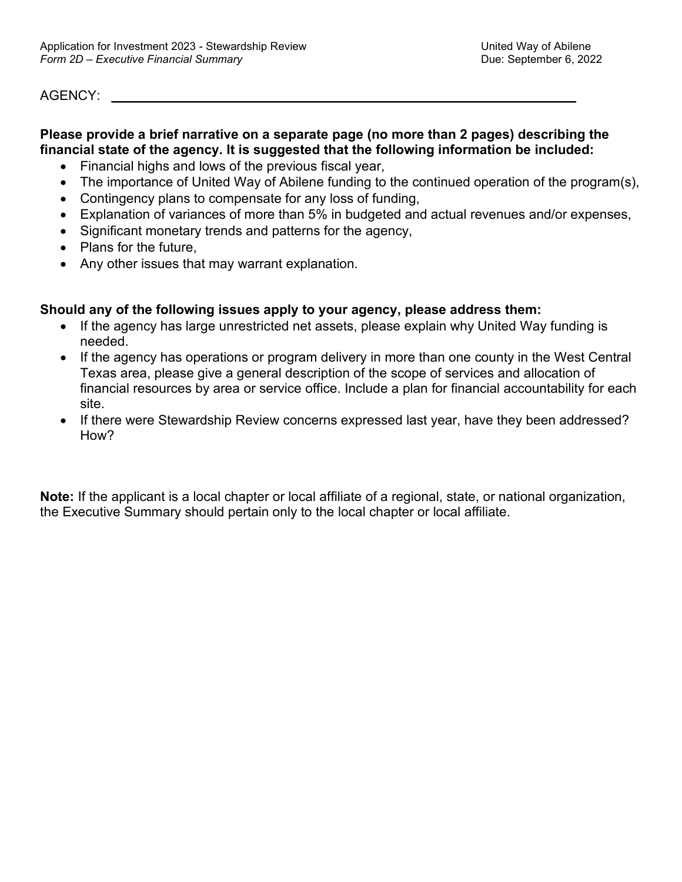### $AGENCY:$

# **Please provide a brief narrative on a separate page (no more than 2 pages) describing the financial state of the agency. It is suggested that the following information be included:**

- Financial highs and lows of the previous fiscal year,
- The importance of United Way of Abilene funding to the continued operation of the program(s),
- Contingency plans to compensate for any loss of funding,
- Explanation of variances of more than 5% in budgeted and actual revenues and/or expenses,
- Significant monetary trends and patterns for the agency,
- Plans for the future,
- Any other issues that may warrant explanation.

### **Should any of the following issues apply to your agency, please address them:**

- If the agency has large unrestricted net assets, please explain why United Way funding is needed.
- If the agency has operations or program delivery in more than one county in the West Central Texas area, please give a general description of the scope of services and allocation of financial resources by area or service office. Include a plan for financial accountability for each site.
- If there were Stewardship Review concerns expressed last year, have they been addressed? How?

**Note:** If the applicant is a local chapter or local affiliate of a regional, state, or national organization, the Executive Summary should pertain only to the local chapter or local affiliate.